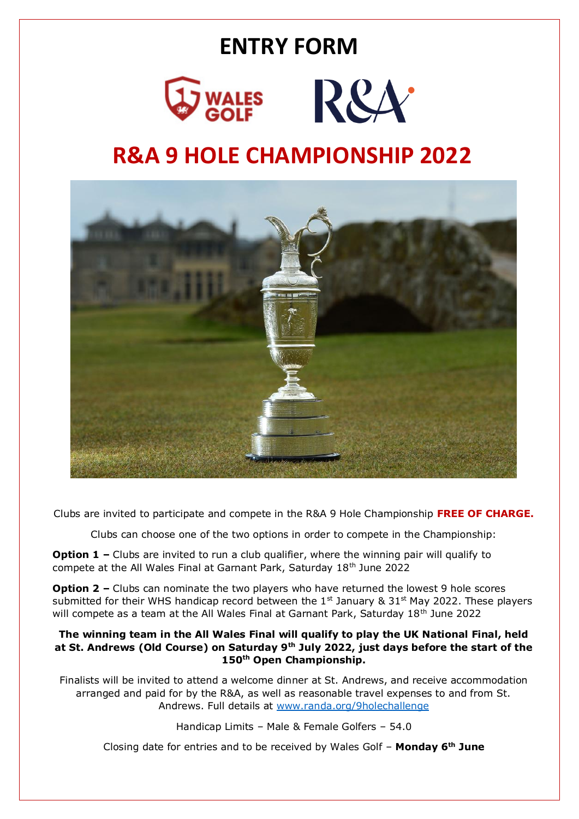# **ENTRY FORM**



## **R&A 9 HOLE CHAMPIONSHIP 2022**



Clubs are invited to participate and compete in the R&A 9 Hole Championship **FREE OF CHARGE.**

Clubs can choose one of the two options in order to compete in the Championship:

**Option 1 –** Clubs are invited to run a club qualifier, where the winning pair will qualify to compete at the All Wales Final at Garnant Park, Saturday 18<sup>th</sup> June 2022

**Option 2** – Clubs can nominate the two players who have returned the lowest 9 hole scores submitted for their WHS handicap record between the  $1<sup>st</sup>$  January & 31<sup>st</sup> May 2022. These players will compete as a team at the All Wales Final at Garnant Park, Saturday 18<sup>th</sup> June 2022

#### **The winning team in the All Wales Final will qualify to play the UK National Final, held at St. Andrews (Old Course) on Saturday 9th July 2022, just days before the start of the 150th Open Championship.**

Finalists will be invited to attend a welcome dinner at St. Andrews, and receive accommodation arranged and paid for by the R&A, as well as reasonable travel expenses to and from St. Andrews. Full details at [www.randa.org/9holechallenge](http://www.randa.org/9holechallenge)

Handicap Limits – Male & Female Golfers – 54.0

Closing date for entries and to be received by Wales Golf – **Monday 6th June**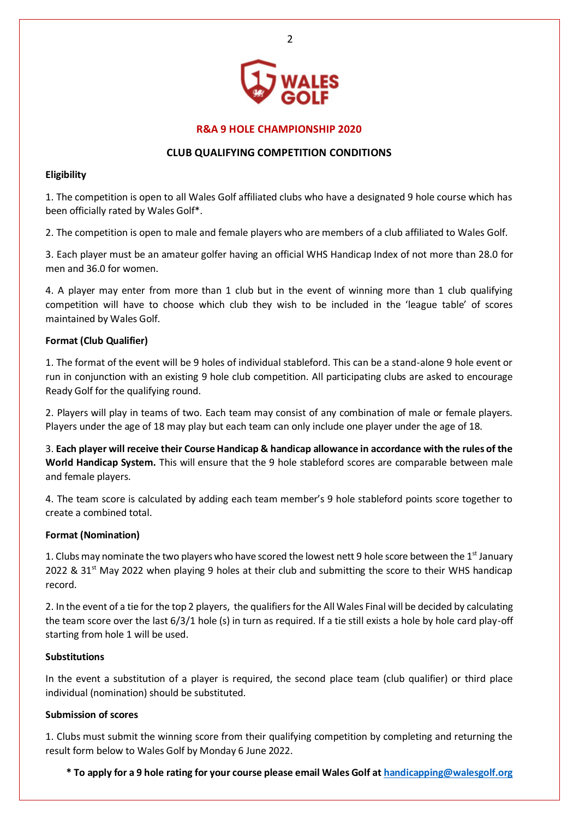

#### **R&A 9 HOLE CHAMPIONSHIP 2020**

#### **CLUB QUALIFYING COMPETITION CONDITIONS**

#### **Eligibility**

1. The competition is open to all Wales Golf affiliated clubs who have a designated 9 hole course which has been officially rated by Wales Golf\*.

2. The competition is open to male and female players who are members of a club affiliated to Wales Golf.

3. Each player must be an amateur golfer having an official WHS Handicap Index of not more than 28.0 for men and 36.0 for women.

4. A player may enter from more than 1 club but in the event of winning more than 1 club qualifying competition will have to choose which club they wish to be included in the 'league table' of scores maintained by Wales Golf.

#### **Format (Club Qualifier)**

1. The format of the event will be 9 holes of individual stableford. This can be a stand-alone 9 hole event or run in conjunction with an existing 9 hole club competition. All participating clubs are asked to encourage Ready Golf for the qualifying round.

2. Players will play in teams of two. Each team may consist of any combination of male or female players. Players under the age of 18 may play but each team can only include one player under the age of 18.

3. **Each player will receive their Course Handicap & handicap allowance in accordance with the rules of the World Handicap System.** This will ensure that the 9 hole stableford scores are comparable between male and female players.

4. The team score is calculated by adding each team member's 9 hole stableford points score together to create a combined total.

#### **Format (Nomination)**

1. Clubs may nominate the two players who have scored the lowest nett 9 hole score between the  $1<sup>st</sup>$  January 2022 & 31<sup>st</sup> May 2022 when playing 9 holes at their club and submitting the score to their WHS handicap record.

2. In the event of a tie for the top 2 players, the qualifiers for the All Wales Final will be decided by calculating the team score over the last 6/3/1 hole (s) in turn as required. If a tie still exists a hole by hole card play-off starting from hole 1 will be used.

#### **Substitutions**

In the event a substitution of a player is required, the second place team (club qualifier) or third place individual (nomination) should be substituted.

#### **Submission of scores**

1. Clubs must submit the winning score from their qualifying competition by completing and returning the result form below to Wales Golf by Monday 6 June 2022.

**\* To apply for a 9 hole rating for your course please email Wales Golf a[t handicapping@walesgolf.org](mailto:handicapping@walesgolf.org)**

2